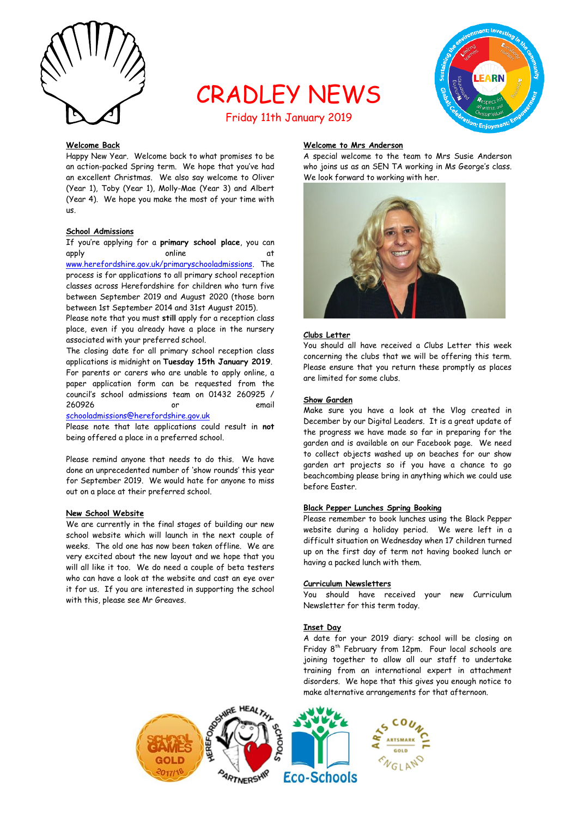

# CRADLEY NEWS



# Friday 11th January 2019

### **Welcome Back**

Happy New Year. Welcome back to what promises to be an action-packed Spring term. We hope that you've had an excellent Christmas. We also say welcome to Oliver (Year 1), Toby (Year 1), Molly-Mae (Year 3) and Albert (Year 4). We hope you make the most of your time with us.

#### **School Admissions**

If you're applying for a **primary school place**, you can apply online at at [www.herefordshire.gov.uk/primaryschooladmissions.](http://www.herefordshire.gov.uk/primaryschooladmissions) The process is for applications to all primary school reception classes across Herefordshire for children who turn five between September 2019 and August 2020 (those born between 1st September 2014 and 31st August 2015).

Please note that you must **still** apply for a reception class place, even if you already have a place in the nursery associated with your preferred school.

The closing date for all primary school reception class applications is midnight on **Tuesday 15th January 2019**. For parents or carers who are unable to apply online, a paper application form can be requested from the council's school admissions team on 01432 260925 / 260926 or email

[schooladmissions@herefordshire.gov.uk](mailto:schooladmissions@herefordshire.gov.uk)

Please note that late applications could result in **not** being offered a place in a preferred school.

Please remind anyone that needs to do this. We have done an unprecedented number of 'show rounds' this year for September 2019. We would hate for anyone to miss out on a place at their preferred school.

#### **New School Website**

We are currently in the final stages of building our new school website which will launch in the next couple of weeks. The old one has now been taken offline. We are very excited about the new layout and we hope that you will all like it too. We do need a couple of beta testers who can have a look at the website and cast an eye over it for us. If you are interested in supporting the school with this, please see Mr Greaves.

## **Welcome to Mrs Anderson**

A special welcome to the team to Mrs Susie Anderson who joins us as an SEN TA working in Ms George's class. We look forward to working with her.



#### **Clubs Letter**

You should all have received a Clubs Letter this week concerning the clubs that we will be offering this term. Please ensure that you return these promptly as places are limited for some clubs.

#### **Show Garden**

Make sure you have a look at the Vlog created in December by our Digital Leaders. It is a great update of the progress we have made so far in preparing for the garden and is available on our Facebook page. We need to collect objects washed up on beaches for our show garden art projects so if you have a chance to go beachcombing please bring in anything which we could use before Easter.

# **Black Pepper Lunches Spring Booking**

Please remember to book lunches using the Black Pepper website during a holiday period. We were left in a difficult situation on Wednesday when 17 children turned up on the first day of term not having booked lunch or having a packed lunch with them.

#### **Curriculum Newsletters**

You should have received your new Curriculum Newsletter for this term today.

#### **Inset Day**

A date for your 2019 diary: school will be closing on Friday 8<sup>th</sup> February from 12pm. Four local schools are joining together to allow all our staff to undertake training from an international expert in attachment disorders. We hope that this gives you enough notice to make alternative arrangements for that afternoon.

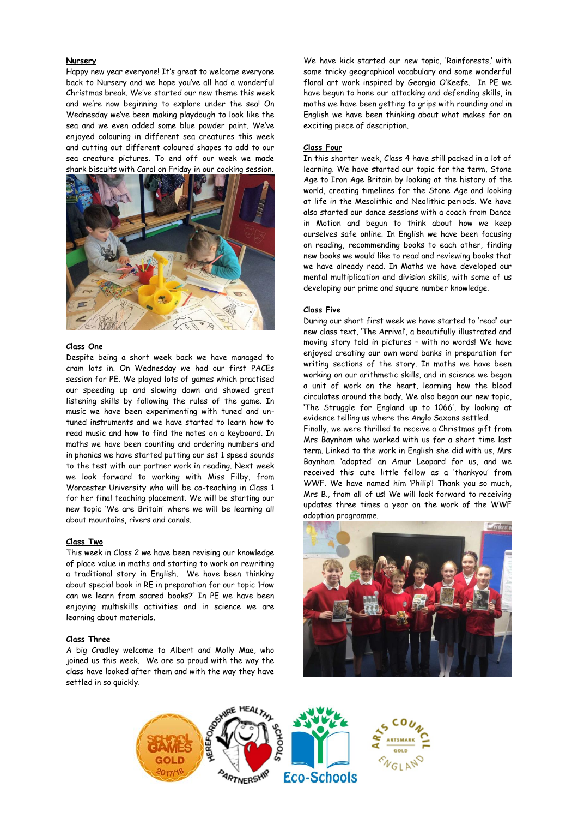#### **Nursery**

Happy new year everyone! It's great to welcome everyone back to Nursery and we hope you've all had a wonderful Christmas break. We've started our new theme this week and we're now beginning to explore under the sea! On Wednesday we've been making playdough to look like the sea and we even added some blue powder paint. We've enjoyed colouring in different sea creatures this week and cutting out different coloured shapes to add to our sea creature pictures. To end off our week we made shark biscuits with Carol on Friday in our cooking session.



#### **Class One**

Despite being a short week back we have managed to cram lots in. On Wednesday we had our first PACEs session for PE. We played lots of games which practised our speeding up and slowing down and showed great listening skills by following the rules of the game. In music we have been experimenting with tuned and untuned instruments and we have started to learn how to read music and how to find the notes on a keyboard. In maths we have been counting and ordering numbers and in phonics we have started putting our set 1 speed sounds to the test with our partner work in reading. Next week we look forward to working with Miss Filby, from Worcester University who will be co-teaching in Class 1 for her final teaching placement. We will be starting our new topic 'We are Britain' where we will be learning all about mountains, rivers and canals.

#### **Class Two**

This week in Class 2 we have been revising our knowledge of place value in maths and starting to work on rewriting a traditional story in English. We have been thinking about special book in RE in preparation for our topic 'How can we learn from sacred books?' In PE we have been enjoying multiskills activities and in science we are learning about materials.

#### **Class Three**

A big Cradley welcome to Albert and Molly Mae, who joined us this week. We are so proud with the way the class have looked after them and with the way they have settled in so quickly.

We have kick started our new topic, 'Rainforests,' with some tricky geographical vocabulary and some wonderful floral art work inspired by Georgia O'Keefe. In PE we have begun to hone our attacking and defending skills, in maths we have been getting to grips with rounding and in English we have been thinking about what makes for an exciting piece of description.

#### **Class Four**

In this shorter week, Class 4 have still packed in a lot of learning. We have started our topic for the term, Stone Age to Iron Age Britain by looking at the history of the world, creating timelines for the Stone Age and looking at life in the Mesolithic and Neolithic periods. We have also started our dance sessions with a coach from Dance in Motion and begun to think about how we keep ourselves safe online. In English we have been focusing on reading, recommending books to each other, finding new books we would like to read and reviewing books that we have already read. In Maths we have developed our mental multiplication and division skills, with some of us developing our prime and square number knowledge.

#### **Class Five**

During our short first week we have started to 'read' our new class text, 'The Arrival', a beautifully illustrated and moving story told in pictures – with no words! We have enjoyed creating our own word banks in preparation for writing sections of the story. In maths we have been working on our arithmetic skills, and in science we began a unit of work on the heart, learning how the blood circulates around the body. We also began our new topic, 'The Struggle for England up to 1066', by looking at evidence telling us where the Anglo Saxons settled.

Finally, we were thrilled to receive a Christmas gift from Mrs Baynham who worked with us for a short time last term. Linked to the work in English she did with us, Mrs Baynham 'adopted' an Amur Leopard for us, and we received this cute little fellow as a 'thankyou' from WWF. We have named him 'Philip'! Thank you so much, Mrs B., from all of us! We will look forward to receiving updates three times a year on the work of the WWF adoption programme.